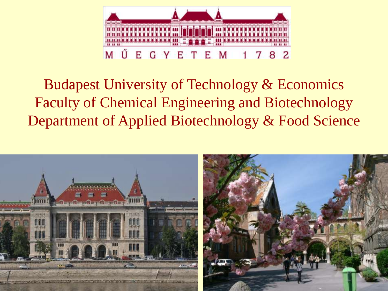

# Budapest University of Technology & Economics Faculty of Chemical Engineering and Biotechnology Department of Applied Biotechnology & Food Science

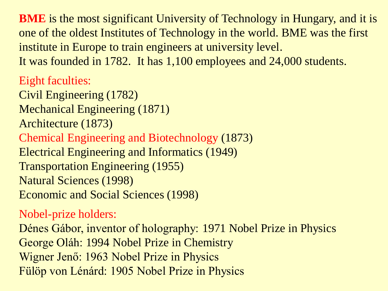**BME** is the most significant University of Technology in Hungary, and it is one of the oldest Institutes of Technology in the world. BME was the first institute in Europe to train engineers at university level. It was founded in 1782. It has 1,100 employees and 24,000 students.

Eight faculties:

Civil Engineering (1782) Mechanical Engineering (1871) Architecture (1873) Chemical Engineering and Biotechnology (1873) Electrical Engineering and Informatics (1949) Transportation Engineering (1955) Natural Sciences (1998) Economic and Social Sciences (1998)

### Nobel-prize holders:

Dénes Gábor, inventor of holography: 1971 Nobel Prize in Physics George Oláh: 1994 Nobel Prize in Chemistry Wigner Jenő: 1963 Nobel Prize in Physics Fülöp von Lénárd: 1905 Nobel Prize in Physics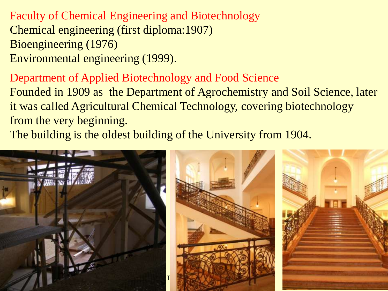Faculty of Chemical Engineering and Biotechnology Chemical engineering (first diploma:1907) Bioengineering (1976) Environmental engineering (1999).

Department of Applied Biotechnology and Food Science Founded in 1909 as the Department of Agrochemistry and Soil Science, later it was called Agricultural Chemical Technology, covering biotechnology from the very beginning.

The building is the oldest building of the University from 1904.

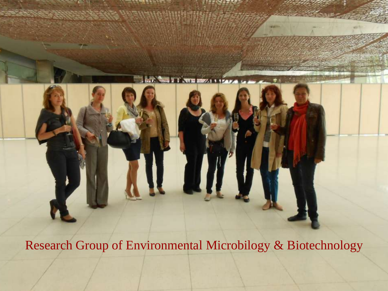

**New York Street, 1115000**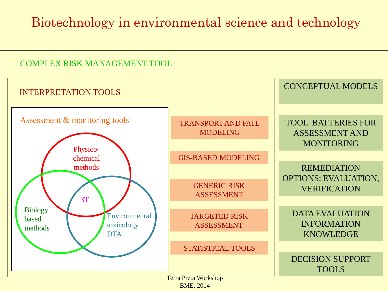### Biotechnology in environmental science and technology

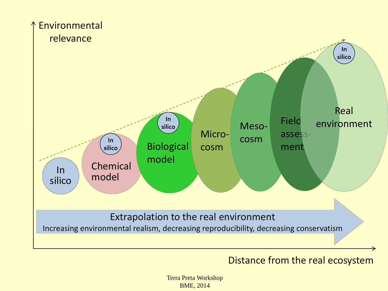

#### Distance from the real ecosystem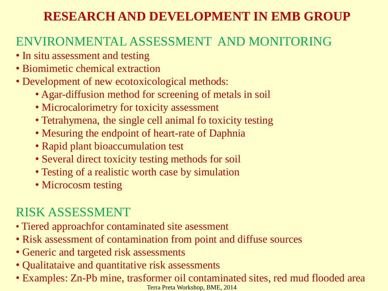### **RESEARCH AND DEVELOPMENT IN EMB GROUP**

### ENVIRONMENTAL ASSESSMENT AND MONITORING

- In situ assessment and testing
- Biomimetic chemical extraction
- Development of new ecotoxicological methods:
	- Agar-diffusion method for screening of metals in soil
	- Microcalorimetry for toxicity assessment
	- Tetrahymena, the single cell animal fo toxicity testing
	- Mesuring the endpoint of heart-rate of Daphnia
	- Rapid plant bioaccumulation test
	- Several direct toxicity testing methods for soil
	- Testing of a realistic worth case by simulation
	- Microcosm testing

### RISK ASSESSMENT

- Tiered approachfor contaminated site asessment
- Risk assessment of contamination from point and diffuse sources
- Generic and targeted risk assessments
- Qualitataive and quantitative risk assessments
- Terra Preta Workshop, BME, 2014 • Examples: Zn-Pb mine, trasformer oil contaminated sites, red mud flooded area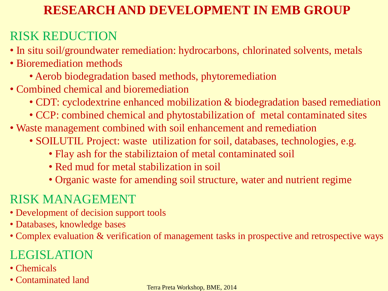### **RESEARCH AND DEVELOPMENT IN EMB GROUP**

### RISK REDUCTION

- In situ soil/groundwater remediation: hydrocarbons, chlorinated solvents, metals
- Bioremediation methods
	- Aerob biodegradation based methods, phytoremediation
- Combined chemical and bioremediation
	- CDT: cyclodextrine enhanced mobilization & biodegradation based remediation
	- CCP: combined chemical and phytostabilization of metal contaminated sites
- Waste management combined with soil enhancement and remediation
	- SOILUTIL Project: waste utilization for soil, databases, technologies, e.g.
		- Flay ash for the stabiliztaion of metal contaminated soil
		- Red mud for metal stabilization in soil
		- Organic waste for amending soil structure, water and nutrient regime

### RISK MANAGEMENT

- Development of decision support tools
- Databases, knowledge bases
- Complex evaluation & verification of management tasks in prospective and retrospective ways

### LEGISLATION

- Chemicals
- Contaminated land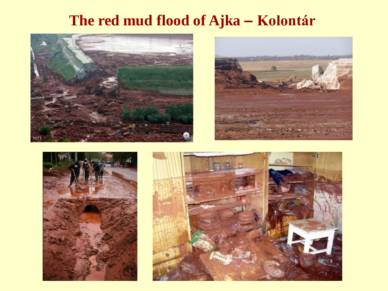## **The red mud flood of Ajka ‒ Kolontár**







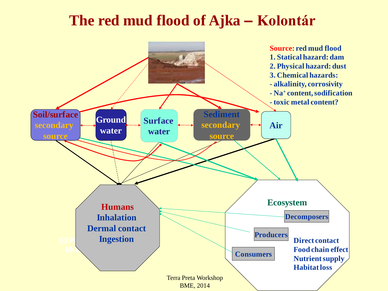### **The red mud flood of Ajka ‒ Kolontár**

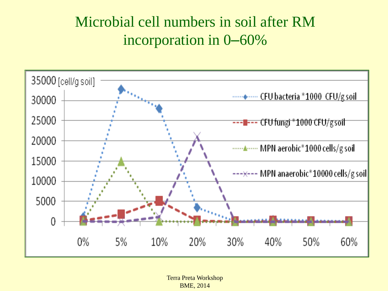## Microbial cell numbers in soil after RM incorporation in 0–60%

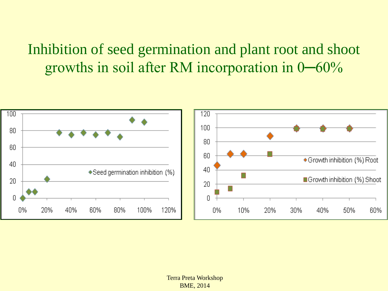### Inhibition of seed germination and plant root and shoot growths in soil after RM incorporation in 0─60%

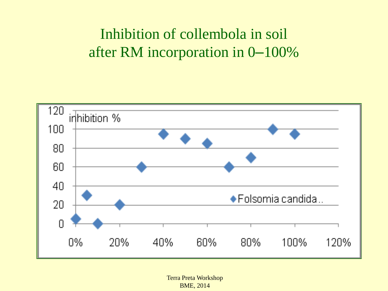## Inhibition of collembola in soil after RM incorporation in 0–100%

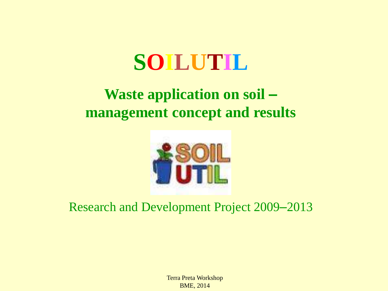# **SOILUTIL**

### **Waste application on soil ‒ management concept and results**



### Research and Development Project 2009–2013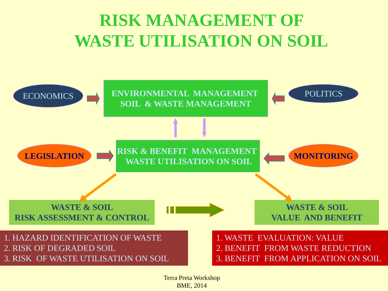# **RISK MANAGEMENT OF WASTE UTILISATION ON SOIL**

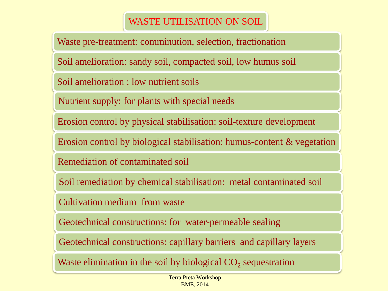#### WASTE UTILISATION ON SOIL

Waste pre-treatment: comminution, selection, fractionation

Soil amelioration: sandy soil, compacted soil, low humus soil

Soil amelioration : low nutrient soils

Nutrient supply: for plants with special needs

Erosion control by physical stabilisation: soil-texture development

Erosion control by biological stabilisation: humus-content & vegetation

Remediation of contaminated soil

Soil remediation by chemical stabilisation: metal contaminated soil

Cultivation medium from waste

Geotechnical constructions: for water-permeable sealing

Geotechnical constructions: capillary barriers and capillary layers

Waste elimination in the soil by biological  $CO_2$  sequestration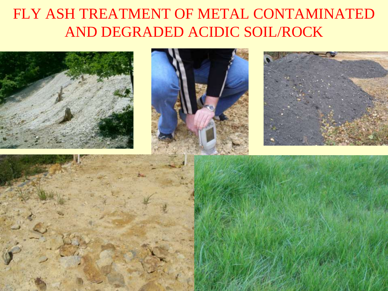# FLY ASH TREATMENT OF METAL CONTAMINATED AND DEGRADED ACIDIC SOIL/ROCK

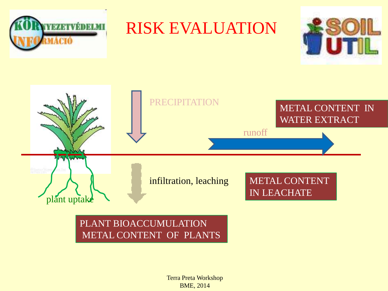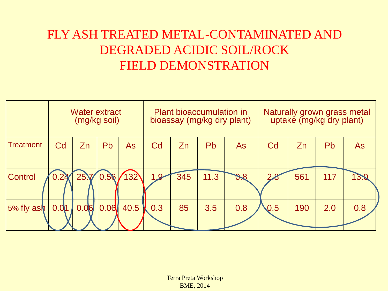### FLY ASH TREATED METAL-CONTAMINATED AND DEGRADED ACIDIC SOIL/ROCK FIELD DEMONSTRATION

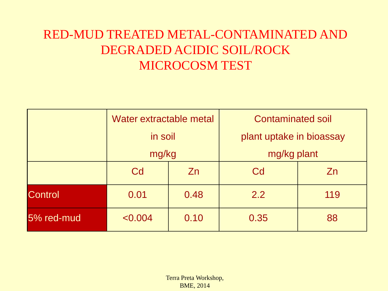### RED-MUD TREATED METAL-CONTAMINATED AND DEGRADED ACIDIC SOIL/ROCK MICROCOSM TEST

|                | Water extractable metal<br>in soil |           | <b>Contaminated soil</b> |     |
|----------------|------------------------------------|-----------|--------------------------|-----|
|                |                                    |           | plant uptake in bioassay |     |
|                | mg/kg                              |           | mg/kg plant              |     |
|                | Cd                                 | <b>Zn</b> | Cd                       | Zn  |
| <b>Control</b> | 0.01                               | 0.48      | 2.2                      | 119 |
| 5% red-mud     | < 0.004                            | 0.10      | 0.35                     | 88  |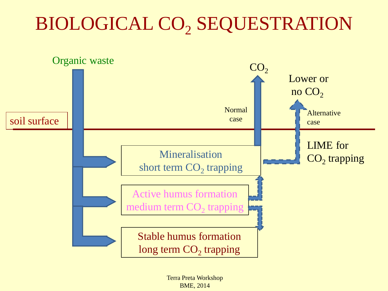# BIOLOGICAL CO<sub>2</sub> SEQUESTRATION

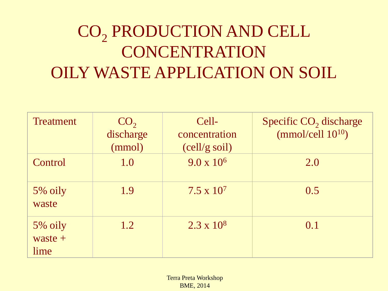# CO<sub>2</sub> PRODUCTION AND CELL **CONCENTRATION** OILY WASTE APPLICATION ON SOIL

| <b>Treatment</b>             | CO <sub>2</sub><br>discharge<br>(mmol) | Cell-<br>concentration<br>$\left( \text{cell/g soil} \right)$ | Specific CO <sub>2</sub> discharge<br>(mmol/cell $10^{10}$ ) |
|------------------------------|----------------------------------------|---------------------------------------------------------------|--------------------------------------------------------------|
| Control                      | 1.0                                    | $9.0 \times 10^6$                                             | 2.0                                                          |
| 5% oily<br>waste             | 1.9                                    | $7.5 \times 10^7$                                             | 0.5                                                          |
| 5% oily<br>$waste +$<br>lime | 1.2                                    | $2.3 \times 10^8$                                             | 0.1                                                          |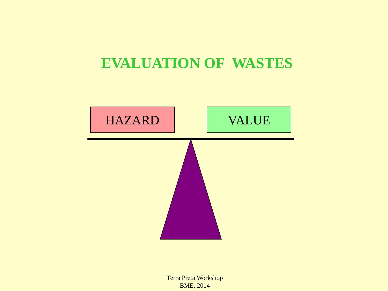### **EVALUATION OF WASTES**

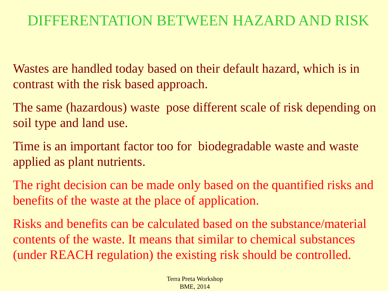### DIFFERENTATION BETWEEN HAZARD AND RISK

Wastes are handled today based on their default hazard, which is in contrast with the risk based approach.

The same (hazardous) waste pose different scale of risk depending on soil type and land use.

Time is an important factor too for biodegradable waste and waste applied as plant nutrients.

The right decision can be made only based on the quantified risks and benefits of the waste at the place of application.

Risks and benefits can be calculated based on the substance/material contents of the waste. It means that similar to chemical substances (under REACH regulation) the existing risk should be controlled.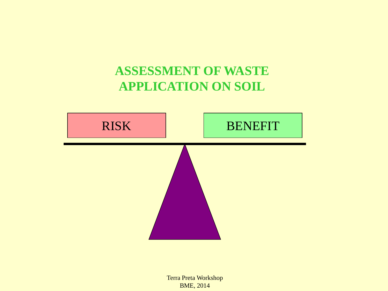### **ASSESSMENT OF WASTE APPLICATION ON SOIL**

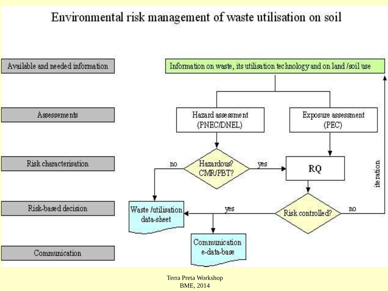### Environmental risk management of waste utilisation on soil

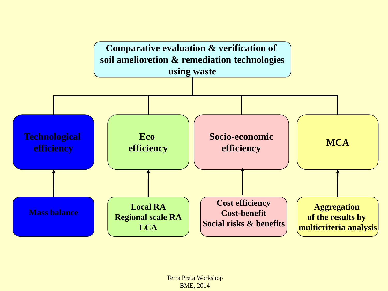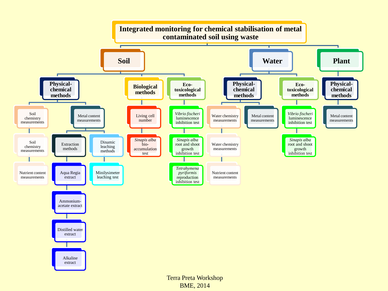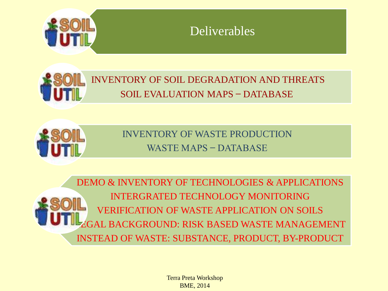

### Deliverables



### INVENTORY OF SOIL DEGRADATION AND THREATS SOIL EVALUATION MAPS – DATABASE



INVENTORY OF WASTE PRODUCTION WASTE MAPS – DATABASE

DEMO & INVENTORY OF TECHNOLOGIES & APPLICATIONS INTERGRATED TECHNOLOGY MONITORING VERIFICATION OF WASTE APPLICATION ON SOILS GAL BACKGROUND: RISK BASED WASTE MANAGEMENT INSTEAD OF WASTE: SUBSTANCE, PRODUCT, BY-PRODUCT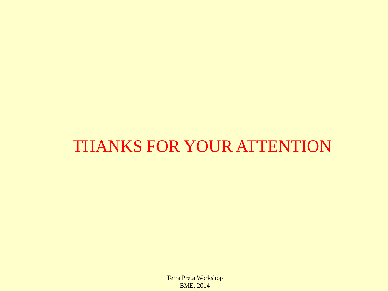# THANKS FOR YOUR ATTENTION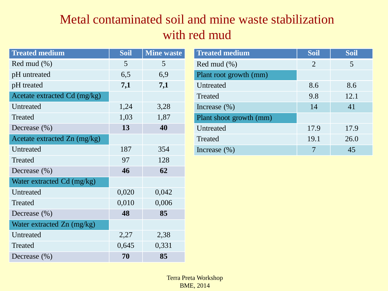### Metal contaminated soil and mine waste stabilization with red mud

| <b>Treated medium</b>        | <b>Soil</b> | <b>Mine waste</b> |
|------------------------------|-------------|-------------------|
| Red mud $(\%)$               | 5           | 5                 |
| pH untreated                 | 6,5         | 6,9               |
| pH treated                   | 7,1         | 7,1               |
| Acetate extracted Cd (mg/kg) |             |                   |
| Untreated                    | 1,24        | 3,28              |
| Treated                      | 1,03        | 1,87              |
| Decrease $(\% )$             | 13          | 40                |
| Acetate extracted Zn (mg/kg) |             |                   |
| Untreated                    | 187         | 354               |
| <b>Treated</b>               | 97          | 128               |
| Decrease $(\% )$             | 46          | 62                |
| Water extracted Cd (mg/kg)   |             |                   |
| Untreated                    | 0,020       | 0,042             |
| <b>Treated</b>               | 0,010       | 0,006             |
| Decrease $(\% )$             | 48          | 85                |
| Water extracted Zn (mg/kg)   |             |                   |
| Untreated                    | 2,27        | 2,38              |
| Treated                      | 0,645       | 0,331             |
| Decrease $(\% )$             | 70          | 85                |

| <b>Treated medium</b>   | <b>Soil</b>    | <b>Soil</b> |
|-------------------------|----------------|-------------|
| Red mud $(\%)$          | $\overline{2}$ | 5           |
| Plant root growth (mm)  |                |             |
| Untreated               | 8.6            | 8.6         |
| Treated                 | 9.8            | 12.1        |
| Increase $(\% )$        | 14             | 41          |
| Plant shoot growth (mm) |                |             |
| Untreated               | 17.9           | 17.9        |
| Treated                 | 19.1           | 26.0        |
| Increase $(\% )$        |                | 45          |